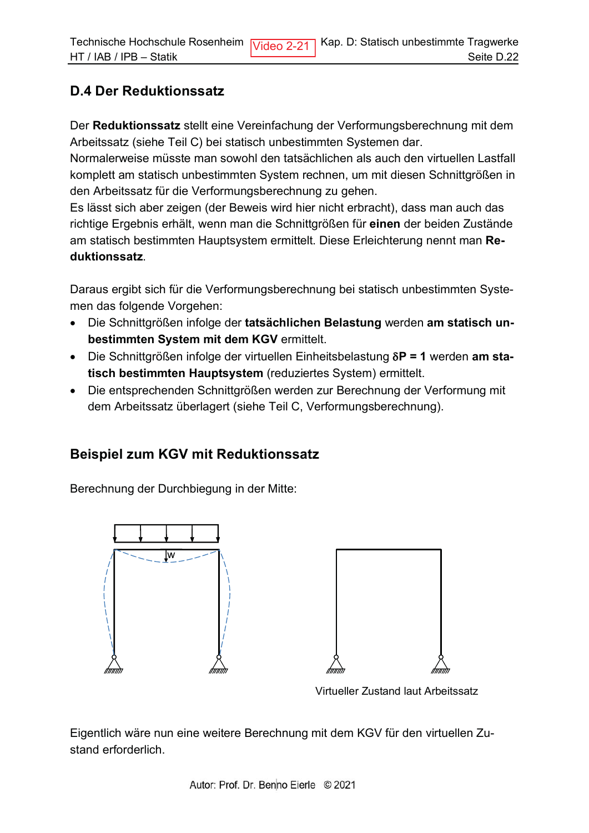## **D.4 Der Reduktionssatz**

Der Reduktionssatz stellt eine Vereinfachung der Verformungsberechnung mit dem Arbeitssatz (siehe Teil C) bei statisch unbestimmten Systemen dar.

Normalerweise müsste man sowohl den tatsächlichen als auch den virtuellen Lastfall komplett am statisch unbestimmten System rechnen, um mit diesen Schnittgrößen in den Arbeitssatz für die Verformungsberechnung zu gehen.

Es lässt sich aber zeigen (der Beweis wird hier nicht erbracht), dass man auch das richtige Ergebnis erhält, wenn man die Schnittgrößen für einen der beiden Zustände am statisch bestimmten Hauptsystem ermittelt. Diese Erleichterung nennt man Reduktionssatz.

Daraus ergibt sich für die Verformungsberechnung bei statisch unbestimmten Systemen das folgende Vorgehen:

- · Die Schnittgrößen infolge der tatsächlichen Belastung werden am statisch unbestimmten System mit dem KGV ermittelt.
- Die Schnittgrößen infolge der virtuellen Einheitsbelastung  $\delta P = 1$  werden am statisch bestimmten Hauptsystem (reduziertes System) ermittelt.
- Die entsprechenden Schnittgrößen werden zur Berechnung der Verformung mit dem Arbeitssatz überlagert (siehe Teil C, Verformungsberechnung).

## **Beispiel zum KGV mit Reduktionssatz**

Berechnung der Durchbiegung in der Mitte:



Virtueller Zustand laut Arbeitssatz

Eigentlich wäre nun eine weitere Berechnung mit dem KGV für den virtuellen Zustand erforderlich.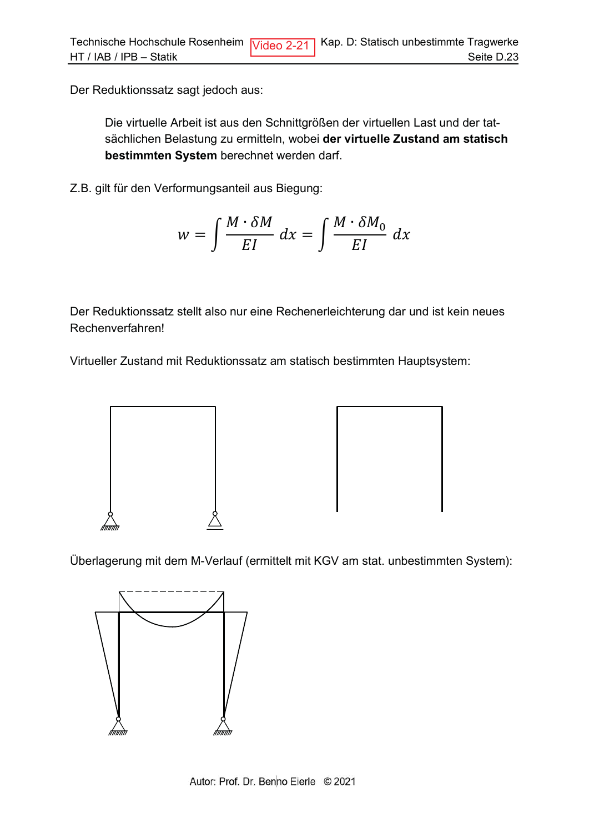Der Reduktionssatz sagt jedoch aus:

Die virtuelle Arbeit ist aus den Schnittgrößen der virtuellen Last und der tatsächlichen Belastung zu ermitteln, wobei der virtuelle Zustand am statisch bestimmten System berechnet werden darf.

Z.B. gilt für den Verformungsanteil aus Biegung:

$$
w = \int \frac{M \cdot \delta M}{EI} \, dx = \int \frac{M \cdot \delta M_0}{EI} \, dx
$$

Der Reduktionssatz stellt also nur eine Rechenerleichterung dar und ist kein neues Rechenverfahren!

Virtueller Zustand mit Reduktionssatz am statisch bestimmten Hauptsystem:



Überlagerung mit dem M-Verlauf (ermittelt mit KGV am stat. unbestimmten System):

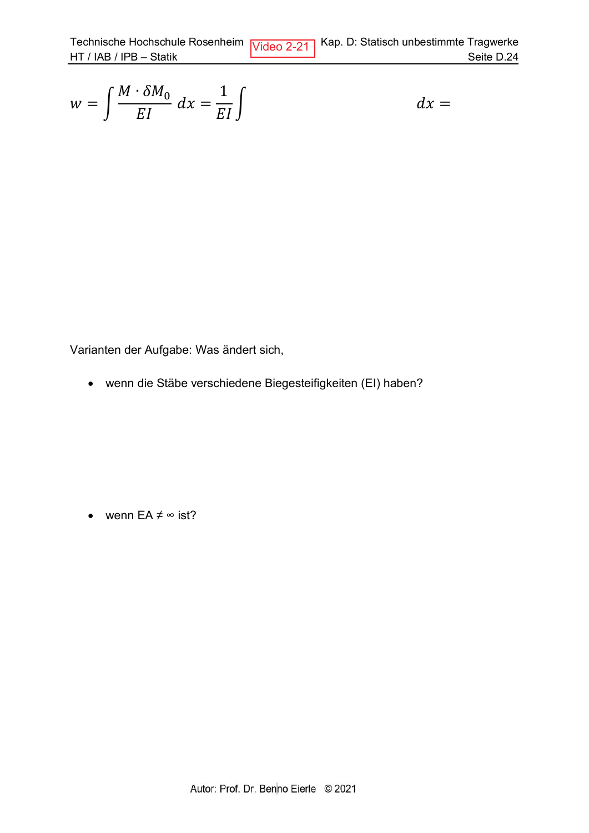$$
w = \int \frac{M \cdot \delta M_0}{EI} dx = \frac{1}{EI} \int dx =
$$

Seite D.24

Varianten der Aufgabe: Was ändert sich,

• wenn die Stäbe verschiedene Biegesteifigkeiten (EI) haben?

• wenn  $EA \neq \infty$  ist?